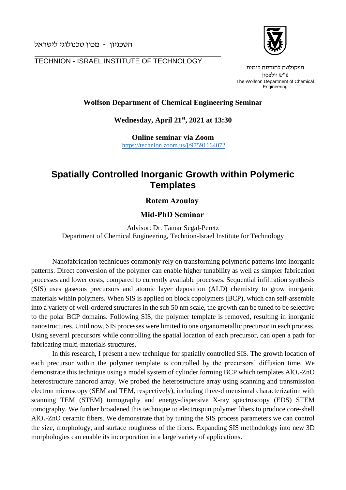הטכניון - מכון טכנולוגי לישראל

 $\overline{a}$ 

TECHNION - ISRAEL INSTITUTE OF TECHNOLOGY



הפקולטה להנדסה כימית ע"ש וולפסון The Wolfson Department of Chemical Engineering

#### **Wolfson Department of Chemical Engineering Seminar**

**Wednesday, April 21 st , 2021 at 13:30**

**Online seminar via Zoom** <https://technion.zoom.us/j/97591164072>

# **Spatially Controlled Inorganic Growth within Polymeric Templates**

### **Rotem Azoulay**

#### **Mid-PhD Seminar**

Advisor: Dr. Tamar Segal-Peretz Department of Chemical Engineering, Technion-Israel Institute for Technology

Nanofabrication techniques commonly rely on transforming polymeric patterns into inorganic patterns. Direct conversion of the polymer can enable higher tunability as well as simpler fabrication processes and lower costs, compared to currently available processes. Sequential infiltration synthesis (SIS) uses gaseous precursors and atomic layer deposition (ALD) chemistry to grow inorganic materials within polymers. When SIS is applied on block copolymers (BCP), which can self-assemble into a variety of well-ordered structures in the sub 50 nm scale, the growth can be tuned to be selective to the polar BCP domains. Following SIS, the polymer template is removed, resulting in inorganic nanostructures. Until now, SIS processes were limited to one organometallic precursor in each process. Using several precursors while controlling the spatial location of each precursor, can open a path for fabricating multi-materials structures.

In this research, I present a new technique for spatially controlled SIS. The growth location of each precursor within the polymer template is controlled by the precursors' diffusion time. We demonstrate this technique using a model system of cylinder forming BCP which templates AlOx-ZnO heterostructure nanorod array. We probed the heterostructure array using scanning and transmission electron microscopy (SEM and TEM, respectively), including three-dimensional characterization with scanning TEM (STEM) tomography and energy-dispersive X-ray spectroscopy (EDS) STEM tomography. We further broadened this technique to electrospun polymer fibers to produce core-shell AlOx-ZnO ceramic fibers. We demonstrate that by tuning the SIS process parameters we can control the size, morphology, and surface roughness of the fibers. Expanding SIS methodology into new 3D morphologies can enable its incorporation in a large variety of applications.